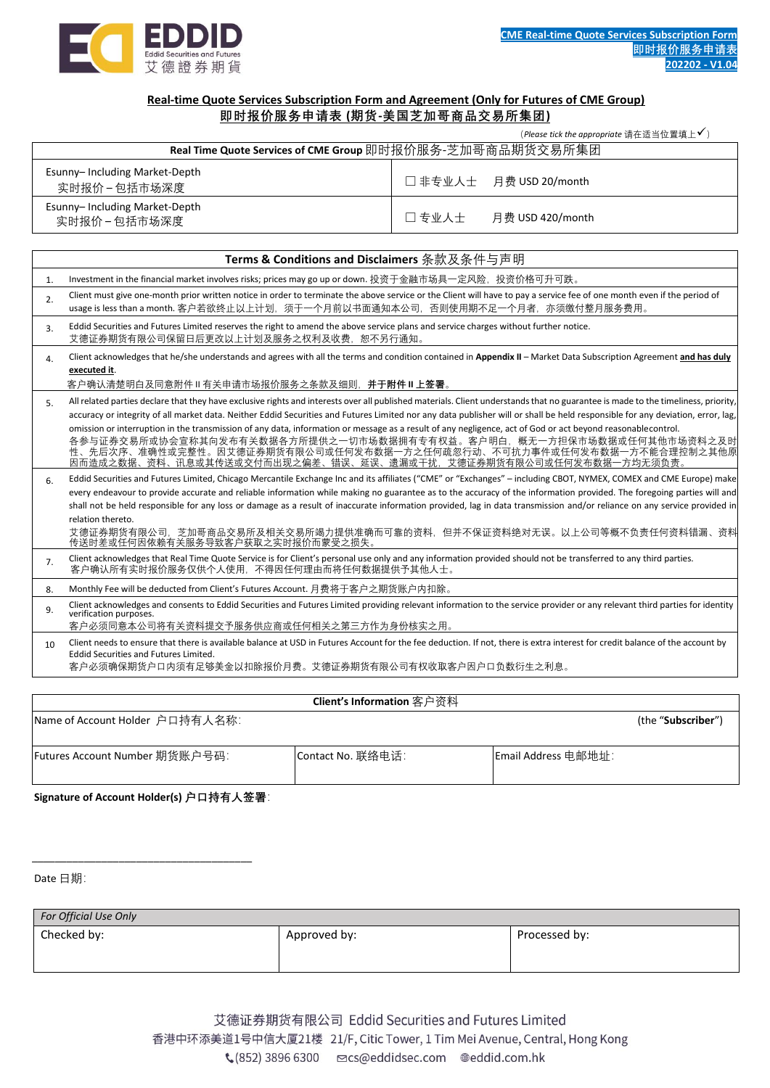

# **Real-time Quote Services Subscription Form and Agreement (Only for Futures of CME Group) 即时报价服务申请表 (期货-美国芝加哥商品交易所集团)**

(*Please tick the appropriate* 请在适当位置填上✓)

| Real Time Quote Services of CME Group 即时报价服务-芝加哥商品期货交易所集团 |                           |  |  |  |  |
|-----------------------------------------------------------|---------------------------|--|--|--|--|
| Esunny-Including Market-Depth<br>实时报价 - 包括市场深度            | □ 非专业人士 月费 USD 20/month   |  |  |  |  |
| Esunny-Including Market-Depth<br>实时报价 – 包括市场深度            | 口专业人士<br>月费 USD 420/month |  |  |  |  |

|                  | Terms & Conditions and Disclaimers 条款及条件与声明                                                                                                                                                                                                                                                                                                                                                                                                                                                                                                                                                                                                                                                                                                          |  |  |  |  |
|------------------|------------------------------------------------------------------------------------------------------------------------------------------------------------------------------------------------------------------------------------------------------------------------------------------------------------------------------------------------------------------------------------------------------------------------------------------------------------------------------------------------------------------------------------------------------------------------------------------------------------------------------------------------------------------------------------------------------------------------------------------------------|--|--|--|--|
| $\mathbf{1}$ .   | Investment in the financial market involves risks; prices may go up or down. 投资于金融市场具一定风险,投资价格可升可跌。                                                                                                                                                                                                                                                                                                                                                                                                                                                                                                                                                                                                                                                  |  |  |  |  |
| 2.               | Client must give one-month prior written notice in order to terminate the above service or the Client will have to pay a service fee of one month even if the period of<br>usage is less than a month. 客户若欲终止以上计划,须于一个月前以书面通知本公司,否则使用期不足一个月者,亦须缴付整月服务费用。                                                                                                                                                                                                                                                                                                                                                                                                                                                                                             |  |  |  |  |
| 3.               | Eddid Securities and Futures Limited reserves the right to amend the above service plans and service charges without further notice.<br>艾德证券期货有限公司保留日后更改以上计划及服务之权利及收费,恕不另行通知。                                                                                                                                                                                                                                                                                                                                                                                                                                                                                                                                                                        |  |  |  |  |
| $\overline{4}$ . | Client acknowledges that he/she understands and agrees with all the terms and condition contained in Appendix II - Market Data Subscription Agreement and has duly<br>executed it.                                                                                                                                                                                                                                                                                                                                                                                                                                                                                                                                                                   |  |  |  |  |
|                  | 客户确认清楚明白及同意附件Ⅱ有关申请市场报价服务之条款及细则,并于 <b>附件Ⅱ上签署</b> 。                                                                                                                                                                                                                                                                                                                                                                                                                                                                                                                                                                                                                                                                                                    |  |  |  |  |
| 5.               | All related parties declare that they have exclusive rights and interests over all published materials. Client understands that no guarantee is made to the timeliness, priority,<br>accuracy or integrity of all market data. Neither Eddid Securities and Futures Limited nor any data publisher will or shall be held responsible for any deviation, error, lag,<br>omission or interruption in the transmission of any data, information or message as a result of any negligence, act of God or act beyond reasonablecontrol.<br>各参与证券交易所或协会宣称其向发布有关数据各方所提供之一切市场数据拥有专有权益。客户明白,概无一方担保市场数据或任何其他市场资料之及时<br>性、先后次序、准确性或完整性。因艾德证券期货有限公司或任何发布数据一方之任何疏忽行动、不可抗力事件或任何发布数据一方不能合理控制之其他原<br>因而造成之数据、资料、讯息或其传送或交付而出现之偏差、错误、延误、遗漏或干扰,艾德证券期货有限公司或任何发布数据一方均无须负责 |  |  |  |  |
| 6.               | Eddid Securities and Futures Limited, Chicago Mercantile Exchange Inc and its affiliates ("CME" or "Exchanges" - including CBOT, NYMEX, COMEX and CME Europe) make<br>every endeavour to provide accurate and reliable information while making no guarantee as to the accuracy of the information provided. The foregoing parties will and<br>shall not be held responsible for any loss or damage as a result of inaccurate information provided, lag in data transmission and/or reliance on any service provided in<br>relation thereto.<br>艾德证券期货有限公司,芝加哥商品交易所及相关交易所竭力提供准确而可靠的资料,但并不保证资料绝对无误。以上公司等概不负责任何资料错漏、资料<br>传送时差或任何因依赖有关服务导致客户获取之实时报价而蒙受之损失。                                                                                             |  |  |  |  |
| 7.               | Client acknowledges that Real Time Quote Service is for Client's personal use only and any information provided should not be transferred to any third parties.<br>客户确认所有实时报价服务仅供个人使用,不得因任何理由而将任何数据提供予其他人士。                                                                                                                                                                                                                                                                                                                                                                                                                                                                                                                                          |  |  |  |  |
| 8.               | Monthly Fee will be deducted from Client's Futures Account. 月费将于客户之期货账户内扣除。                                                                                                                                                                                                                                                                                                                                                                                                                                                                                                                                                                                                                                                                          |  |  |  |  |
| 9.               | Client acknowledges and consents to Eddid Securities and Futures Limited providing relevant information to the service provider or any relevant third parties for identity<br>verification purposes.<br>客户必须同意本公司将有关资料提交予服务供应商或任何相关之第三方作为身份核实之用。                                                                                                                                                                                                                                                                                                                                                                                                                                                                                                     |  |  |  |  |
| 10               | Client needs to ensure that there is available balance at USD in Futures Account for the fee deduction. If not, there is extra interest for credit balance of the account by<br><b>Eddid Securities and Futures Limited.</b><br>客户必须确保期货户口内须有足够美金以扣除报价月费。艾德证券期货有限公司有权收取客户因户口负数衍生之利息。                                                                                                                                                                                                                                                                                                                                                                                                                                                                 |  |  |  |  |

# **Client's Information** 客户资料

| Name of Account Holder 户口持有人名称: |                   |                     | (the " <b>Subscriber</b> ") |
|---------------------------------|-------------------|---------------------|-----------------------------|
| Futures Account Number 期货账户号码:  | Contact No. 联络电话: | Email Address 电邮地址: |                             |

**Signature of Account Holder(s) 户口持有人签署**:

\_\_\_\_\_\_\_\_\_\_\_\_\_\_\_\_\_\_\_\_\_\_\_\_\_\_\_\_\_\_\_\_\_\_\_\_\_\_

Date 日期:

| <b>For Official Use Only</b> |              |               |  |  |
|------------------------------|--------------|---------------|--|--|
| Checked by:                  | Approved by: | Processed by: |  |  |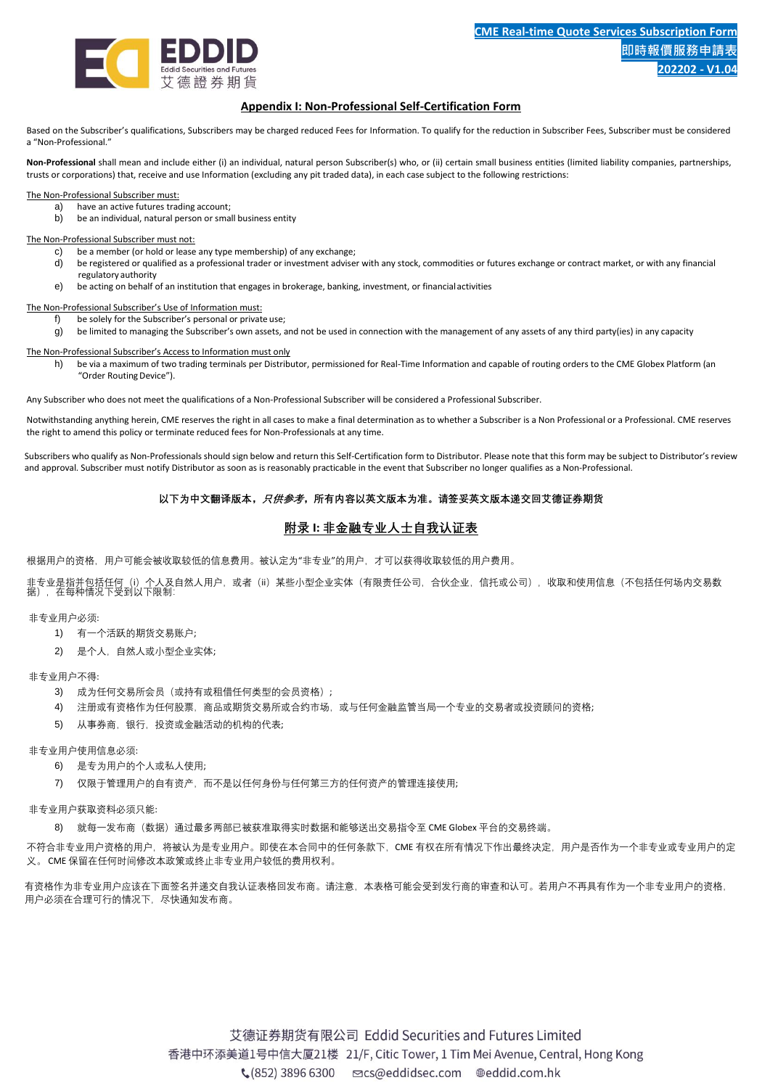

# **Appendix I: Non-Professional Self-Certification Form**

Based on the Subscriber's qualifications, Subscribers may be charged reduced Fees for Information. To qualify for the reduction in Subscriber Fees, Subscriber must be considered a "Non-Professional."

**Non-Professional** shall mean and include either (i) an individual, natural person Subscriber(s) who, or (ii) certain small business entities (limited liability companies, partnerships, trusts or corporations) that, receive and use Information (excluding any pit traded data), in each case subject to the following restrictions:

The Non-Professional Subscriber must:

- a) have an active futures trading account;
- b) be an individual, natural person or small business entity

The Non-Professional Subscriber must not:

- c) be a member (or hold or lease any type membership) of any exchange;
- d) be registered or qualified as a professional trader or investment adviser with any stock, commodities or futures exchange or contract market, or with any financial regulatory authority
- e) be acting on behalf of an institution that engages in brokerage, banking, investment, or financialactivities

The Non-Professional Subscriber's Use of Information must:

- f) be solely for the Subscriber's personal or private use;
- g) be limited to managing the Subscriber's own assets, and not be used in connection with the management of any assets of any third party(ies) in any capacity

The Non-Professional Subscriber's Access to Information must only

h) be via a maximum of two trading terminals per Distributor, permissioned for Real-Time Information and capable of routing orders to the CME Globex Platform (an "Order Routing Device").

Any Subscriber who does not meet the qualifications of a Non-Professional Subscriber will be considered a Professional Subscriber.

Notwithstanding anything herein, CME reserves the right in all cases to make a final determination as to whether a Subscriber is a Non Professional or a Professional. CME reserves the right to amend this policy or terminate reduced fees for Non-Professionals at any time.

Subscribers who qualify as Non-Professionals should sign below and return this Self-Certification form to Distributor. Please note that this form may be subject to Distributor's review and approval. Subscriber must notify Distributor as soon as is reasonably practicable in the event that Subscriber no longer qualifies as a Non-Professional.

## **以下为中文翻译版本,只供参考,所有内容以英文版本为准。请签妥英文版本递交回艾德证券期货**

# **附录 I: 非金融专业人士自我认证表**

根据用户的资格,用户可能会被收取较低的信息费用。被认定为"非专业"的用户,才可以获得收取较低的用户费用。

非专业是指并包括任何(i)个人及自然人用户,或者(ii)某些小型企业实体(有限责任公司,合伙企业,信托或公司),收取和使用信息(不包括任何场内交易数<br>据),在每种情况下受到以下限制:

非专业用户必须:

- 1) 有一个活跃的期货交易账户;
- 2) 是个人,自然人或小型企业实体;

非专业用户不得:

- 3) 成为任何交易所会员(或持有或租借任何类型的会员资格);
- 4) 注册或有资格作为任何股票,商品或期货交易所或合约市场,或与任何金融监管当局一个专业的交易者或投资顾问的资格;
- 5) 从事券商,银行,投资或金融活动的机构的代表;

非专业用户使用信息必须:

- 6) 是专为用户的个人或私人使用;
- 7) 仅限于管理用户的自有资产,而不是以任何身份与任何第三方的任何资产的管理连接使用;

非专业用户获取资料必须只能:

8) 就每一发布商(数据)通过最多两部已被获准取得实时数据和能够送出交易指令至 CME Globex 平台的交易终端。

不符合非专业用户资格的用户,将被认为是专业用户。即使在本合同中的任何条款下,CME 有权在所有情况下作出最终决定,用户是否作为一个非专业或专业用户的定 义。 CME 保留在任何时间修改本政策或终止非专业用户较低的费用权利。

有资格作为非专业用户应该在下面签名并递交自我认证表格回发布商。请注意,本表格可能会受到发行商的审查和认可。若用户不再具有作为一个非专业用户的资格, 用户必须在合理可行的情况下,尽快通知发布商。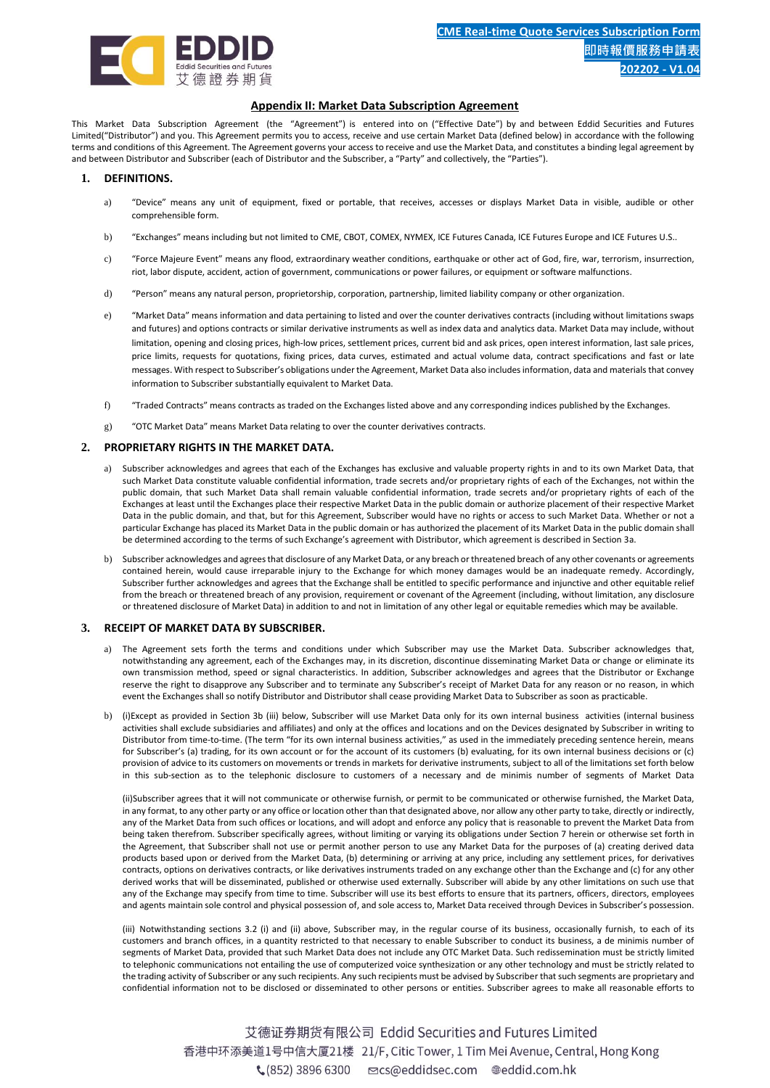

## **Appendix II: Market Data Subscription Agreement**

This Market Data Subscription Agreement (the "Agreement") is entered into on ("Effective Date") by and between Eddid Securities and Futures Limited("Distributor") and you. This Agreement permits you to access, receive and use certain Market Data (defined below) in accordance with the following terms and conditions of this Agreement. The Agreement governs your access to receive and use the Market Data, and constitutes a binding legal agreement by and between Distributor and Subscriber (each of Distributor and the Subscriber, a "Party" and collectively, the "Parties").

## **1. DEFINITIONS.**

- a) "Device" means any unit of equipment, fixed or portable, that receives, accesses or displays Market Data in visible, audible or other comprehensible form.
- b) "Exchanges" means including but not limited to CME, CBOT, COMEX, NYMEX, ICE Futures Canada, ICE Futures Europe and ICE Futures U.S..
- c) "Force Majeure Event" means any flood, extraordinary weather conditions, earthquake or other act of God, fire, war, terrorism, insurrection, riot, labor dispute, accident, action of government, communications or power failures, or equipment or software malfunctions.
- d) "Person" means any natural person, proprietorship, corporation, partnership, limited liability company or other organization.
- e) "Market Data" means information and data pertaining to listed and over the counter derivatives contracts (including without limitations swaps and futures) and options contracts or similar derivative instruments as well as index data and analytics data. Market Data may include, without limitation, opening and closing prices, high-low prices, settlement prices, current bid and ask prices, open interest information, last sale prices, price limits, requests for quotations, fixing prices, data curves, estimated and actual volume data, contract specifications and fast or late messages. With respect to Subscriber's obligations under the Agreement, Market Data also includes information, data and materials that convey information to Subscriber substantially equivalent to Market Data.
- f) "Traded Contracts" means contracts as traded on the Exchanges listed above and any corresponding indices published by the Exchanges.
- g) "OTC Market Data" means Market Data relating to over the counter derivatives contracts.

## **2. PROPRIETARY RIGHTS IN THE MARKET DATA.**

- a) Subscriber acknowledges and agrees that each of the Exchanges has exclusive and valuable property rights in and to its own Market Data, that such Market Data constitute valuable confidential information, trade secrets and/or proprietary rights of each of the Exchanges, not within the public domain, that such Market Data shall remain valuable confidential information, trade secrets and/or proprietary rights of each of the Exchanges at least until the Exchanges place their respective Market Data in the public domain or authorize placement of their respective Market Data in the public domain, and that, but for this Agreement, Subscriber would have no rights or access to such Market Data. Whether or not a particular Exchange has placed its Market Data in the public domain or has authorized the placement of its Market Data in the public domain shall be determined according to the terms of such Exchange's agreement with Distributor, which agreement is described in Section 3a.
- b) Subscriber acknowledges and agrees that disclosure of any Market Data, or any breach or threatened breach of any other covenants or agreements contained herein, would cause irreparable injury to the Exchange for which money damages would be an inadequate remedy. Accordingly, Subscriber further acknowledges and agrees that the Exchange shall be entitled to specific performance and injunctive and other equitable relief from the breach or threatened breach of any provision, requirement or covenant of the Agreement (including, without limitation, any disclosure or threatened disclosure of Market Data) in addition to and not in limitation of any other legal or equitable remedies which may be available.

#### **3. RECEIPT OF MARKET DATA BY SUBSCRIBER.**

- a) The Agreement sets forth the terms and conditions under which Subscriber may use the Market Data. Subscriber acknowledges that, notwithstanding any agreement, each of the Exchanges may, in its discretion, discontinue disseminating Market Data or change or eliminate its own transmission method, speed or signal characteristics. In addition, Subscriber acknowledges and agrees that the Distributor or Exchange reserve the right to disapprove any Subscriber and to terminate any Subscriber's receipt of Market Data for any reason or no reason, in which event the Exchanges shall so notify Distributor and Distributor shall cease providing Market Data to Subscriber as soon as practicable.
- b) (i)Except as provided in Section 3b (iii) below, Subscriber will use Market Data only for its own internal business activities (internal business activities shall exclude subsidiaries and affiliates) and only at the offices and locations and on the Devices designated by Subscriber in writing to Distributor from time-to-time. (The term "for its own internal business activities," as used in the immediately preceding sentence herein, means for Subscriber's (a) trading, for its own account or for the account of its customers (b) evaluating, for its own internal business decisions or (c) provision of advice to its customers on movements or trends in markets for derivative instruments, subject to all of the limitations set forth below in this sub-section as to the telephonic disclosure to customers of a necessary and de minimis number of segments of Market Data

(ii)Subscriber agrees that it will not communicate or otherwise furnish, or permit to be communicated or otherwise furnished, the Market Data, in any format, to any other party or any office or location other than that designated above, nor allow any other party to take, directly or indirectly, any of the Market Data from such offices or locations, and will adopt and enforce any policy that is reasonable to prevent the Market Data from being taken therefrom. Subscriber specifically agrees, without limiting or varying its obligations under Section 7 herein or otherwise set forth in the Agreement, that Subscriber shall not use or permit another person to use any Market Data for the purposes of (a) creating derived data products based upon or derived from the Market Data, (b) determining or arriving at any price, including any settlement prices, for derivatives contracts, options on derivatives contracts, or like derivatives instruments traded on any exchange other than the Exchange and (c) for any other derived works that will be disseminated, published or otherwise used externally. Subscriber will abide by any other limitations on such use that any of the Exchange may specify from time to time. Subscriber will use its best efforts to ensure that its partners, officers, directors, employees and agents maintain sole control and physical possession of, and sole access to, Market Data received through Devices in Subscriber's possession.

(iii) Notwithstanding sections 3.2 (i) and (ii) above, Subscriber may, in the regular course of its business, occasionally furnish, to each of its customers and branch offices, in a quantity restricted to that necessary to enable Subscriber to conduct its business, a de minimis number of segments of Market Data, provided that such Market Data does not include any OTC Market Data. Such redissemination must be strictly limited to telephonic communications not entailing the use of computerized voice synthesization or any other technology and must be strictly related to the trading activity of Subscriber or any such recipients. Any such recipients must be advised by Subscriber that such segments are proprietary and confidential information not to be disclosed or disseminated to other persons or entities. Subscriber agrees to make all reasonable efforts to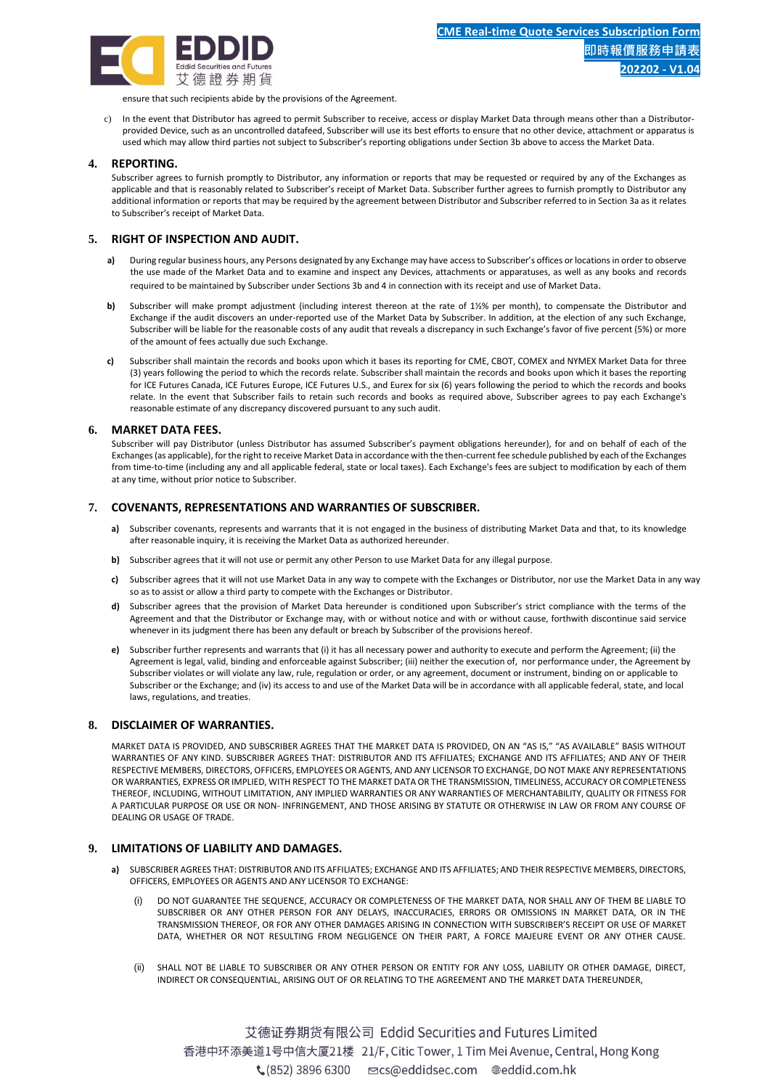

ensure that such recipients abide by the provisions of the Agreement.

c) In the event that Distributor has agreed to permit Subscriber to receive, access or display Market Data through means other than a Distributorprovided Device, such as an uncontrolled datafeed, Subscriber will use its best efforts to ensure that no other device, attachment or apparatus is used which may allow third parties not subject to Subscriber's reporting obligations under Section 3b above to access the Market Data.

## **4. REPORTING.**

Subscriber agrees to furnish promptly to Distributor, any information or reports that may be requested or required by any of the Exchanges as applicable and that is reasonably related to Subscriber's receipt of Market Data. Subscriber further agrees to furnish promptly to Distributor any additional information or reports that may be required by the agreement between Distributor and Subscriber referred to in Section 3a as it relates to Subscriber's receipt of Market Data.

## **5. RIGHT OF INSPECTION AND AUDIT.**

- **a)** During regular business hours, any Persons designated by any Exchange may have access to Subscriber's offices or locations in order to observe the use made of the Market Data and to examine and inspect any Devices, attachments or apparatuses, as well as any books and records required to be maintained by Subscriber under Sections 3b and 4 in connection with its receipt and use of Market Data.
- **b)** Subscriber will make prompt adjustment (including interest thereon at the rate of 1½% per month), to compensate the Distributor and Exchange if the audit discovers an under-reported use of the Market Data by Subscriber. In addition, at the election of any such Exchange, Subscriber will be liable for the reasonable costs of any audit that reveals a discrepancy in such Exchange's favor of five percent (5%) or more of the amount of fees actually due such Exchange.
- **c)** Subscriber shall maintain the records and books upon which it bases its reporting for CME, CBOT, COMEX and NYMEX Market Data for three (3) years following the period to which the records relate. Subscriber shall maintain the records and books upon which it bases the reporting for ICE Futures Canada, ICE Futures Europe, ICE Futures U.S., and Eurex for six (6) years following the period to which the records and books relate. In the event that Subscriber fails to retain such records and books as required above, Subscriber agrees to pay each Exchange's reasonable estimate of any discrepancy discovered pursuant to any such audit.

#### **6. MARKET DATA FEES.**

Subscriber will pay Distributor (unless Distributor has assumed Subscriber's payment obligations hereunder), for and on behalf of each of the Exchanges (as applicable), for the right to receive Market Data in accordance with the then-current fee schedule published by each of the Exchanges from time-to-time (including any and all applicable federal, state or local taxes). Each Exchange's fees are subject to modification by each of them at any time, without prior notice to Subscriber.

#### **7. COVENANTS, REPRESENTATIONS AND WARRANTIES OF SUBSCRIBER.**

- **a)** Subscriber covenants, represents and warrants that it is not engaged in the business of distributing Market Data and that, to its knowledge after reasonable inquiry, it is receiving the Market Data as authorized hereunder.
- **b)** Subscriber agrees that it will not use or permit any other Person to use Market Data for any illegal purpose.
- **c)** Subscriber agrees that it will not use Market Data in any way to compete with the Exchanges or Distributor, nor use the Market Data in any way so as to assist or allow a third party to compete with the Exchanges or Distributor.
- **d)** Subscriber agrees that the provision of Market Data hereunder is conditioned upon Subscriber's strict compliance with the terms of the Agreement and that the Distributor or Exchange may, with or without notice and with or without cause, forthwith discontinue said service whenever in its judgment there has been any default or breach by Subscriber of the provisions hereof.
- **e)** Subscriber further represents and warrants that (i) it has all necessary power and authority to execute and perform the Agreement; (ii) the Agreement is legal, valid, binding and enforceable against Subscriber; (iii) neither the execution of, nor performance under, the Agreement by Subscriber violates or will violate any law, rule, regulation or order, or any agreement, document or instrument, binding on or applicable to Subscriber or the Exchange; and (iv) its access to and use of the Market Data will be in accordance with all applicable federal, state, and local laws, regulations, and treaties.

## **8. DISCLAIMER OF WARRANTIES.**

MARKET DATA IS PROVIDED, AND SUBSCRIBER AGREES THAT THE MARKET DATA IS PROVIDED, ON AN "AS IS," "AS AVAILABLE" BASIS WITHOUT WARRANTIES OF ANY KIND. SUBSCRIBER AGREES THAT: DISTRIBUTOR AND ITS AFFILIATES; EXCHANGE AND ITS AFFILIATES; AND ANY OF THEIR RESPECTIVE MEMBERS, DIRECTORS, OFFICERS, EMPLOYEES OR AGENTS, AND ANY LICENSOR TO EXCHANGE, DO NOT MAKE ANY REPRESENTATIONS OR WARRANTIES, EXPRESS OR IMPLIED, WITH RESPECT TO THE MARKET DATA OR THE TRANSMISSION, TIMELINESS, ACCURACY OR COMPLETENESS THEREOF, INCLUDING, WITHOUT LIMITATION, ANY IMPLIED WARRANTIES OR ANY WARRANTIES OF MERCHANTABILITY, QUALITY OR FITNESS FOR A PARTICULAR PURPOSE OR USE OR NON- INFRINGEMENT, AND THOSE ARISING BY STATUTE OR OTHERWISE IN LAW OR FROM ANY COURSE OF DEALING OR USAGE OF TRADE.

## **9. LIMITATIONS OF LIABILITY AND DAMAGES.**

- **a)** SUBSCRIBER AGREES THAT: DISTRIBUTOR AND ITS AFFILIATES; EXCHANGE AND ITS AFFILIATES; AND THEIR RESPECTIVE MEMBERS, DIRECTORS, OFFICERS, EMPLOYEES OR AGENTS AND ANY LICENSOR TO EXCHANGE:
	- (i) DO NOT GUARANTEE THE SEQUENCE, ACCURACY OR COMPLETENESS OF THE MARKET DATA, NOR SHALL ANY OF THEM BE LIABLE TO SUBSCRIBER OR ANY OTHER PERSON FOR ANY DELAYS, INACCURACIES, ERRORS OR OMISSIONS IN MARKET DATA, OR IN THE TRANSMISSION THEREOF, OR FOR ANY OTHER DAMAGES ARISING IN CONNECTION WITH SUBSCRIBER'S RECEIPT OR USE OF MARKET DATA, WHETHER OR NOT RESULTING FROM NEGLIGENCE ON THEIR PART, A FORCE MAJEURE EVENT OR ANY OTHER CAUSE.
	- (ii) SHALL NOT BE LIABLE TO SUBSCRIBER OR ANY OTHER PERSON OR ENTITY FOR ANY LOSS, LIABILITY OR OTHER DAMAGE, DIRECT, INDIRECT OR CONSEQUENTIAL, ARISING OUT OF OR RELATING TO THE AGREEMENT AND THE MARKET DATA THEREUNDER,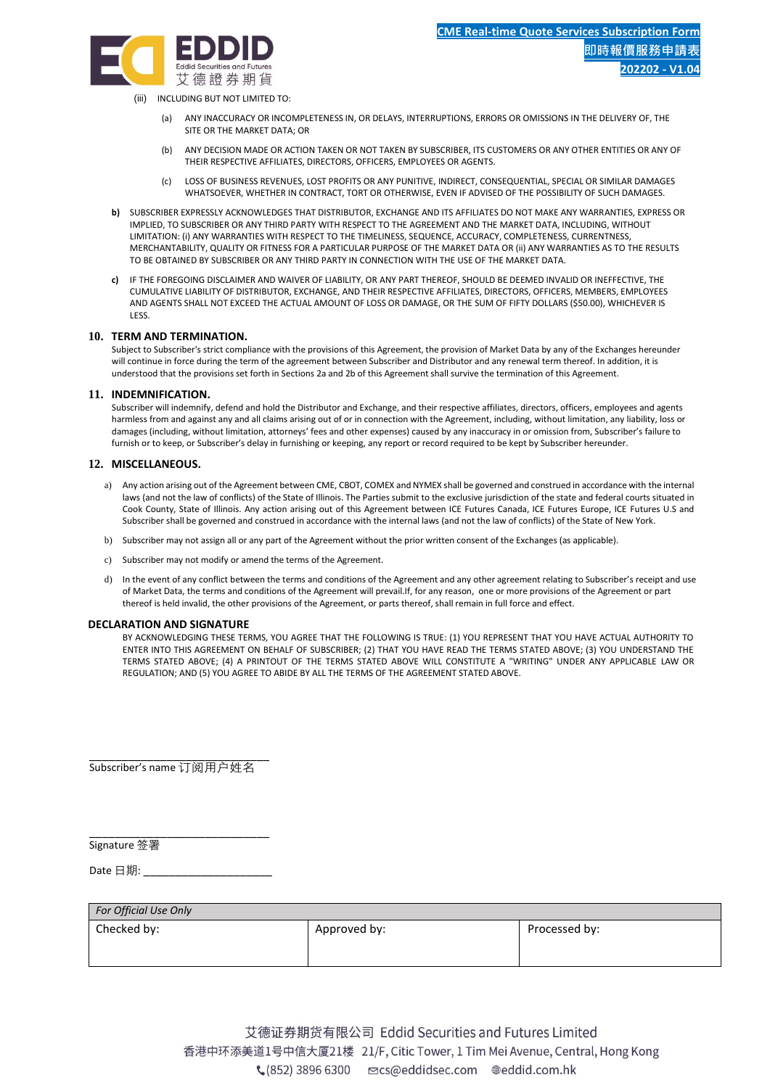

(iii) INCLUDING BUT NOT LIMITED TO:

- (a) ANY INACCURACY OR INCOMPLETENESS IN, OR DELAYS, INTERRUPTIONS, ERRORS OR OMISSIONS IN THE DELIVERY OF, THE SITE OR THE MARKET DATA; OR
- (b) ANY DECISION MADE OR ACTION TAKEN OR NOT TAKEN BY SUBSCRIBER, ITS CUSTOMERS OR ANY OTHER ENTITIES OR ANY OF THEIR RESPECTIVE AFFILIATES, DIRECTORS, OFFICERS, EMPLOYEES OR AGENTS.
- (c) LOSS OF BUSINESS REVENUES, LOST PROFITS OR ANY PUNITIVE, INDIRECT, CONSEQUENTIAL, SPECIAL OR SIMILAR DAMAGES WHATSOEVER, WHETHER IN CONTRACT, TORT OR OTHERWISE, EVEN IF ADVISED OF THE POSSIBILITY OF SUCH DAMAGES.
- **b)** SUBSCRIBER EXPRESSLY ACKNOWLEDGES THAT DISTRIBUTOR, EXCHANGE AND ITS AFFILIATES DO NOT MAKE ANY WARRANTIES, EXPRESS OR IMPLIED, TO SUBSCRIBER OR ANY THIRD PARTY WITH RESPECT TO THE AGREEMENT AND THE MARKET DATA, INCLUDING, WITHOUT LIMITATION: (i) ANY WARRANTIES WITH RESPECT TO THE TIMELINESS, SEQUENCE, ACCURACY, COMPLETENESS, CURRENTNESS, MERCHANTABILITY, QUALITY OR FITNESS FOR A PARTICULAR PURPOSE OF THE MARKET DATA OR (ii) ANY WARRANTIES AS TO THE RESULTS TO BE OBTAINED BY SUBSCRIBER OR ANY THIRD PARTY IN CONNECTION WITH THE USE OF THE MARKET DATA.
- **c)** IF THE FOREGOING DISCLAIMER AND WAIVER OF LIABILITY, OR ANY PART THEREOF, SHOULD BE DEEMED INVALID OR INEFFECTIVE, THE CUMULATIVE LIABILITY OF DISTRIBUTOR, EXCHANGE, AND THEIR RESPECTIVE AFFILIATES, DIRECTORS, OFFICERS, MEMBERS, EMPLOYEES AND AGENTS SHALL NOT EXCEED THE ACTUAL AMOUNT OF LOSS OR DAMAGE, OR THE SUM OF FIFTY DOLLARS (\$50.00), WHICHEVER IS LESS.

## **10. TERM AND TERMINATION.**

Subject to Subscriber's strict compliance with the provisions of this Agreement, the provision of Market Data by any of the Exchanges hereunder will continue in force during the term of the agreement between Subscriber and Distributor and any renewal term thereof. In addition, it is understood that the provisions set forth in Sections 2a and 2b of this Agreement shall survive the termination of this Agreement.

## **11. INDEMNIFICATION.**

Subscriber will indemnify, defend and hold the Distributor and Exchange, and their respective affiliates, directors, officers, employees and agents harmless from and against any and all claims arising out of or in connection with the Agreement, including, without limitation, any liability, loss or damages (including, without limitation, attorneys' fees and other expenses) caused by any inaccuracy in or omission from, Subscriber's failure to furnish or to keep, or Subscriber's delay in furnishing or keeping, any report or record required to be kept by Subscriber hereunder.

## **12. MISCELLANEOUS.**

- a) Any action arising out of the Agreement between CME, CBOT, COMEX and NYMEX shall be governed and construed in accordance with the internal laws (and not the law of conflicts) of the State of Illinois. The Parties submit to the exclusive jurisdiction of the state and federal courts situated in Cook County, State of Illinois. Any action arising out of this Agreement between ICE Futures Canada, ICE Futures Europe, ICE Futures U.S and Subscriber shall be governed and construed in accordance with the internal laws (and not the law of conflicts) of the State of New York.
- b) Subscriber may not assign all or any part of the Agreement without the prior written consent of the Exchanges (as applicable).
- c) Subscriber may not modify or amend the terms of the Agreement.
- d) In the event of any conflict between the terms and conditions of the Agreement and any other agreement relating to Subscriber's receipt and use of Market Data, the terms and conditions of the Agreement will prevail.If, for any reason, one or more provisions of the Agreement or part thereof is held invalid, the other provisions of the Agreement, or parts thereof, shall remain in full force and effect.

## **DECLARATION AND SIGNATURE**

BY ACKNOWLEDGING THESE TERMS, YOU AGREE THAT THE FOLLOWING IS TRUE: (1) YOU REPRESENT THAT YOU HAVE ACTUAL AUTHORITY TO ENTER INTO THIS AGREEMENT ON BEHALF OF SUBSCRIBER; (2) THAT YOU HAVE READ THE TERMS STATED ABOVE; (3) YOU UNDERSTAND THE TERMS STATED ABOVE; (4) A PRINTOUT OF THE TERMS STATED ABOVE WILL CONSTITUTE A "WRITING" UNDER ANY APPLICABLE LAW OR REGULATION; AND (5) YOU AGREE TO ABIDE BY ALL THE TERMS OF THE AGREEMENT STATED ABOVE.

\_\_\_\_\_\_\_\_\_\_\_\_\_\_\_\_\_\_\_\_\_\_\_\_\_\_\_\_ Subscriber's name 订阅用户姓名

\_\_\_\_\_\_\_\_\_\_\_\_\_\_\_\_\_\_\_\_\_\_\_\_\_\_\_\_ Signature 签署

Date 日期: \_\_\_\_\_\_\_\_\_\_\_\_\_\_\_\_\_

| For Official Use Only |              |               |  |  |
|-----------------------|--------------|---------------|--|--|
| Checked by:           | Approved by: | Processed by: |  |  |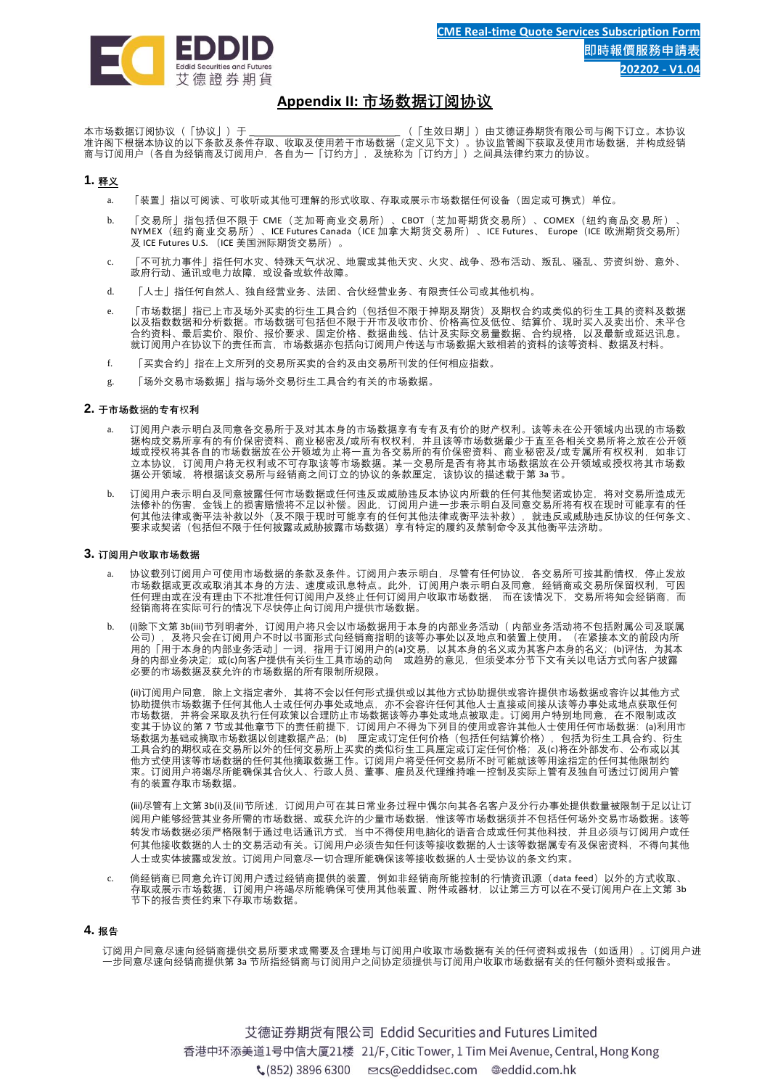

# **Appendix II: 市场数据订阅协议**

本市场数据订阅协议(「协议」)于 \_ \_ (「生效日期」)由艾德证券期货有限公司与阁下订立。本协议 准许阁下根据本协议的以下条款及条件存取、收取及使用若干市场数据(定义见下文)。协议监管阁下获取及使用市场数据,并构成经销 商与订阅用户(各自为经销商及订阅用户,各自为一「订约方」,及统称为「订约方」)之间具法律约束力的协议。

# **1. 释义**

- a. 「装置」指以可阅读、可收听或其他可理解的形式收取、存取或展示市场数据任何设备(固定或可携式)单位。
- b. 「交易所」指包括但不限于 CME(芝加哥商业交易所)、CBOT(芝加哥期货交易所)、COMEX(纽约商品交易所)、 NYMEX(纽约商业交易所)、ICE Futures Canada(ICE 加拿大期货交易所)、ICE Futures、 Europe(ICE 欧洲期货交易所) 及 ICE Futures U.S. (ICE 美国洲际期货交易所)。
- c. 「不可抗力事件」指任何水灾、特殊天气状况、地震或其他天灾、火灾、战争、恐布活动、叛乱、骚乱、劳资纠纷、意外、 政府行动、通讯或电力故障,或设备或软件故障。
- d. 「人士」指任何自然人、独自经营业务、法团、合伙经营业务、有限责任公司或其他机构。
- e. 「市场数据」指已上市及场外买卖的衍生工具合约(包括但不限于掉期及期货)及期权合约或类似的衍生工具的资料及数据 以及指数数据和分析数据。市场数据可包括但不限于开市及收市价、价格高位及低位、结算价、现时买入及卖出价、未平仓 合约资料、最后卖价、限价、报价要求、固定价格、数据曲线、估计及实际交易量数据、合约规格,以及最新或延迟讯息。 就订阅用户在协议下的责任而言,市场数据亦包括向订阅用户传送与市场数据大致相若的资料的该等资料、数据及村料。
- f. 「买卖合约」指在上文所列的交易所买卖的合约及由交易所刊发的任何相应指数。
- g. 「场外交易市场数据」指与场外交易衍生工具合约有关的市场数据。

## **2. 于市场数**据**的专有**权**利**

- a. 订阅用户表示明白及同意各交易所于及对其本身的市场数据享有专有及有价的财产权利。该等未在公开领域内出现的市场数 据构成交易所享有的有价保密资料、商业秘密及/或所有权权利,并且该等市场数据最少于直至各相关交易所将之放在公开领 域或授权将其各自的市场数据放在公开领域为止将一直为各交易所的有价保密资料、商业秘密及/或专属所有权权利,如非订 立本协议,订阅用户将无权利或不可存取该等市场数据。某一交易所是否有将其市场数据放在公开领域或授权将其市场数 据公开领域,将根据该交易所与经销商之间订立的协议的条款厘定,该协议的描述载于第 3a节。
- b. 订阅用户表示明白及同意披露任何市场数据或任何违反或威胁违反本协议内所载的任何其他契诺或协定,将对交易所造成无 法修补的伤害,金钱上的损害赔偿将不足以补偿。因此,订阅用户进一步表示明白及同意交易所将有权在现时可能享有的任 何其他法律或衡平法补救以外(及不限于现时可能享有的任何其他法律或衡平法补救),就违反或威胁违反协议的任何条文、 要求或契诺(包括但不限于任何披露或威胁披露市场数据)享有特定的履约及禁制命令及其他衡平法济助。

#### **3. 订阅用户收取市场数据**

- a. 协议载列订阅用户可使用市场数据的条款及条件。订阅用户表示明白,尽管有任何协议,各交易所可按其酌情权,停止发放 市场数据或更改或取消其本身的方法、速度或讯息特点。此外,订阅用户表示明白及同意,经销商或交易所保留权利,可因 任何理由或在没有理由下不批准任何订阅用户及终止任何订阅用户收取市场数据, 而在该情况下,交易所将知会经销商,而 经销商将在实际可行的情况下尽快停止向订阅用户提供市场数据。
- (i)除下文第 3b(iii)节列明者外,订阅用户将只会以市场数据用于本身的内部业务活动( 内部业务活动将不包括附属公司及联属<br>公司),及将只会在订阅用户不时以书面形式向经销商指明的该等办事处以及地点和装置上使用。(在紧接本文的前段内所 及将只会在订阅用户不时以书面形式向经销商指明的该等办事处以及地点和装置上使用。 用的「用于本身的内部业务活动」一词,指用于订阅用户的(a)交易,以其本身的名义或为其客户本身的名义;(b)评估,为其本 身的内部业务决定;或(c)向客户提供有关衍生工具市场的动向 或趋势的意见,但须受本分节下文有关以电话方式向客户披露 必要的市场数据及获允许的市场数据的所有限制所规限。

(ii)订阅用户同意,除上文指定者外,其将不会以任何形式提供或以其他方式协助提供或容许提供市场数据或容许以其他方式 协助提供市场数据予任何其他人士或任何办事处或地点,亦不会容许任何其他人士直接或间接从该等办事处或地点获取任何 市场数据,并将会采取及执行任何政策以合理防止市场数据该等办事处或地点被取走。订阅用户特别地同意,在不限制或改 变其于协议的第 7 节或其他章节下的责任前提下,订阅用户不得为下列目的使用或容许其他人士使用任何市场数据: (a)利用市 场数据为基础或摘取市场数据以创建数据产品;(b) 厘定或订定任何价格(包括任何结算价格),包括为衍生工具合约、衍生 工具合约的期权或在交易所以外的任何交易所上买卖的类似衍生工具厘定或订定任何价格;及(c)将在外部发布、公布或以其 他方式使用该等市场数据的任何其他摘取数据工作。订阅用户将受任何交易所不时可能就该等用途指定的任何其他限制约 束。订阅用户将竭尽所能确保其合伙人、行政人员、董事、雇员及代理维持唯一控制及实际上管有及独自可透过订阅用户管 有的装置存取市场数据。

(iii)尽管有上文第 3b(i)及(ii)节所述,订阅用户可在其日常业务过程中偶尔向其各名客户及分行办事处提供数量被限制于足以让订 阅用户能够经营其业务所需的市场数据、或获允许的少量市场数据,惟该等市场数据须并不包括任何场外交易市场数据。该等 转发市场数据必须严格限制于通过电话通讯方式,当中不得使用电脑化的语音合成或任何其他科技,并且必须与订阅用户或任 何其他接收数据的人士的交易活动有关。订阅用户必须告知任何该等接收数据的人士该等数据属专有及保密资料,不得向其他 人士或实体披露或发放。订阅用户同意尽一切合理所能确保该等接收数据的人士受协议的条文约束。

c. 倘经销商已同意允许订阅用户透过经销商提供的装置,例如非经销商所能控制的行情资讯源 (data feed) 以外的方式收取、 存取或展示市场数据,订阅用户将竭尽所能确保可使用其他装置、附件或器材,以让第三方可以在不受订阅用户在上文第 3b 节下的报告责任约束下存取市场数据。

#### **4. 报告**

订阅用户同意尽速向经销商提供交易所要求或需要及合理地与订阅用户收取市场数据有关的任何资料或报告(如适用)。订阅用户进 一步同意尽速向经销商提供第 3a 节所指经销商与订阅用户之间协定须提供与订阅用户收取市场数据有关的任何额外资料或报告。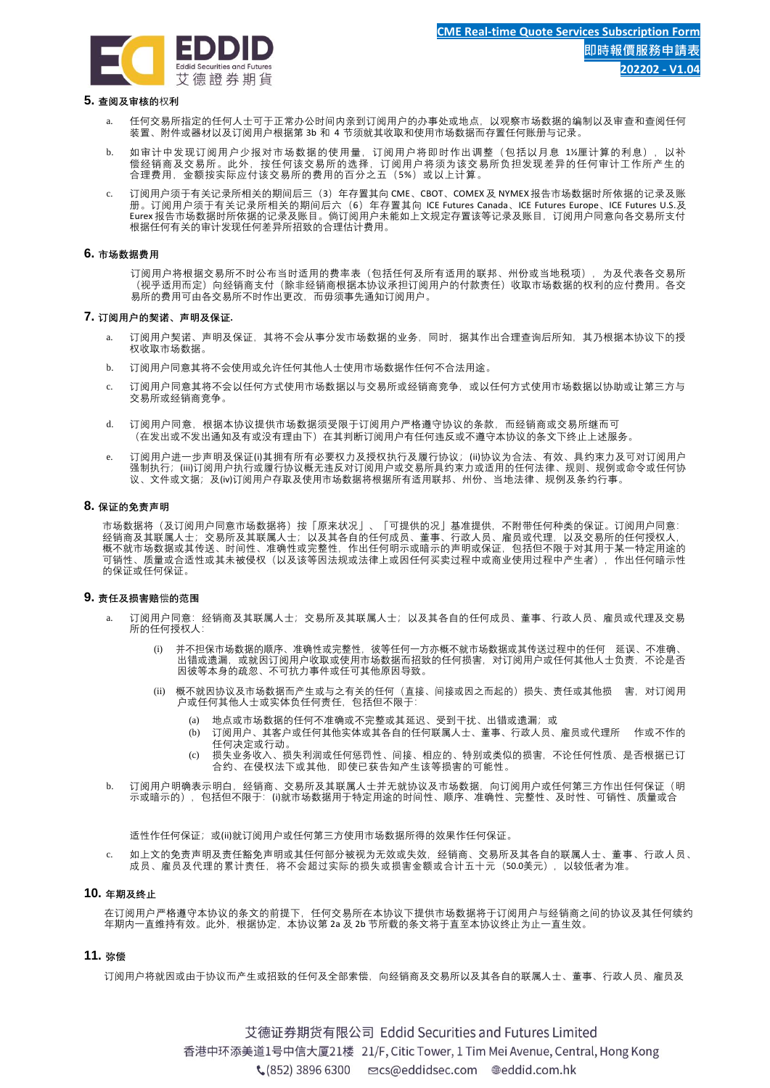

#### **5. 查阅及审核的**权**利**

- 任何交易所指定的任何人士可于正常办公时间内亲到订阅用户的办事处或地点,以观察市场数据的编制以及审查和查阅任何 装置、附件或器材以及订阅用户根据第 3b 和 4 节须就其收取和使用市场数据而存置任何账册与记录。
- b. 如审计中发现订阅用户少报对市场数据的使用量,订阅用户将即时作出调整(包括以月息 1½ 厘计算的利息),以补 偿经销商及交易所。此外,按任何该交易所的选择,订阅用户将须为该交易所负担发现差异的任何审计工作所产生的 合理费用,金额按实际应付该交易所的费用的百分之五 (5%) 或以上计算。
- 订阅用户须于有关记录所相关的期间后三(3)年存置其向 CME、CBOT、COMEX及 NYMEX报告市场数据时所依据的记录及账 册。订阅用户须于有关记录所相关的期间后六(6)年存置其向 ICE Futures Canada、ICE Futures Europe、ICE Futures U.S.及 Eurex 报告市场数据时所依据的记录及账目。倘订阅用户未能如上文规定存置该等记录及账目,订阅用户同意向各交易所支付 根据任何有关的审计发现任何差异所招致的合理估计费用。

#### **6. 市场数据费用**

订阅用户将根据交易所不时公布当时适用的费率表(包括任何及所有适用的联邦、州份或当地税项),为及代表各交易所 (视乎适用而定)向经销商支付(除非经销商根据本协议承担订阅用户的付款责任)收取市场数据的权利的应付费用。各交 易所的费用可由各交易所不时作出更改,而毋须事先通知订阅用户。

#### **7. 订阅用户的契诺、声明及保证.**

- 订阅用户契诺、声明及保证,其将不会从事分发市场数据的业务,同时,据其作出合理查询后所知,其乃根据本协议下的授 权收取市场数据。
- b. 订阅用户同意其将不会使用或允许任何其他人士使用市场数据作任何不合法用途。
- c. 订阅用户同意其将不会以任何方式使用市场数据以与交易所或经销商竞争,或以任何方式使用市场数据以协助或让第三方与 交易所或经销商竞争。
- d. 订阅用户同意,根据本协议提供市场数据须受限于订阅用户严格遵守协议的条款,而经销商或交易所继而可 (在发出或不发出通知及有或没有理由下)在其判断订阅用户有任何违反或不遵守本协议的条文下终止上述服务。
- e. 订阅用户进一步声明及保证(i)其拥有所有必要权力及授权执行及履行协议;(ii)协议为合法、有效、具约束力及可对订阅用户 强制执行; (iii)订阅用户执行或履行协议概无违反对订阅用户或交易所具约束力或适用的任何法律、规则、规例或命令或任何协 议、文件或文据;及(iv)订阅用户存取及使用市场数据将根据所有适用联邦、州份、当地法律、规例及条约行事。

### **8. 保证的免责声明**

市场数据将(及订阅用户同意市场数据将)按「原来状况」、「可提供的况」基准提供,不附带任何种类的保证。订阅用户同意: 经销商及其联属人士; 交易所及其联属人士; 以及其各自的任何成员、董事、行政人员、雇员或代理,以及交易所的任何授权人, 概不就市场数据或其传送、时间性、准确性或完整性,作出任何明示或暗示的声明或保证,包括但不限于对其用于某一特定用途的 ,可销性、质量或合适性或其未被侵权(以及该空国法规或法律上或因任何买卖过程中或商业使用过程中产生者),作出任何暗示性<br>可销性、质量或合适性或其未被侵权(以及该等因法规或法律上或因任何买卖过程中或商业使用过程中产生者),作出任何暗示性 的保证或任何保证。

#### **9. 责任及损害赔**偿**的范围**

- a. 订阅用户同意:经销商及其联属人士;交易所及其联属人士;以及其各自的任何成员、董事、行政人员、雇员或代理及交易 所的任何授权人:
	- 并不担保市场数据的顺序、准确性或完整性,彼等任何一方亦概不就市场数据或其传送过程中的任何 延误、不准确 出错或遗漏,或就因订阅用户收取或使用市场数据而招致的任何损害,对订阅用户或任何其他人士负责,不论是否 因彼等本身的疏忽、不可抗力事件或任可其他原因导致。
	- (ii) 概不就因协议及市场数据而产生或与之有关的任何(直接、间接或因之而起的)损失、责任或其他损 害,对订阅用 户或任何其他人士或实体负任何责任,包括但不限于:
		- (a) 地点或市场数据的任何不准确或不完整或其延迟、受到干扰、出错或遗漏;或
		- (b) 订阅用户、其客户或任何其他实体或其各自的任何联属人士、董事、行政人员、雇员或代理所 作或不作的 任何决定或行动。
		- (c) 损失业务收入、损失利润或任何惩罚性、间接、相应的、特别或类似的损害,不论任何性质、是否根据已订 合约、在侵权法下或其他,即使已获告知产生该等损害的可能性。
- b. 订阅用户明确表示明白,经销商、交易所及其联属人士并无就协议及市场数据,向订阅用户或任何第三方作出任何保证 (明 示或暗示的),包括但不限于:(i)就市场数据用于特定用途的时间性、顺序、准确性、完整性、及时性、可销性、质量或合

适性作任何保证; 或(ii)就订阅用户或任何第三方使用市场数据所得的效果作任何保证。

如上文的免责声明及责任新免声明或其任何部分被视为无效或失效,经销商、交易所及其各自的联属人士、董事、行政人员、 成员、雇员及代理的累计责任,将不会超过实际的损失或损害金额或合计五十元 (50.0美元), 以较低者为准。

#### **10. 年期及终止**

在订阅用户严格遵守本协议的条文的前提下,任何交易所在本协议下提供市场数据将于订阅用户与经销商之间的协议及其任何续约 年期内一直维持有效。此外,根据协定,本协议第 2a 及 2b 节所载的条文将于直至本协议终止为止一直生效。

## **11. 弥偿**

订阅用户将就因或由于协议而产生或招致的任何及全部索偿,向经销商及交易所以及其各自的联属人士、董事、行政人员、雇员及